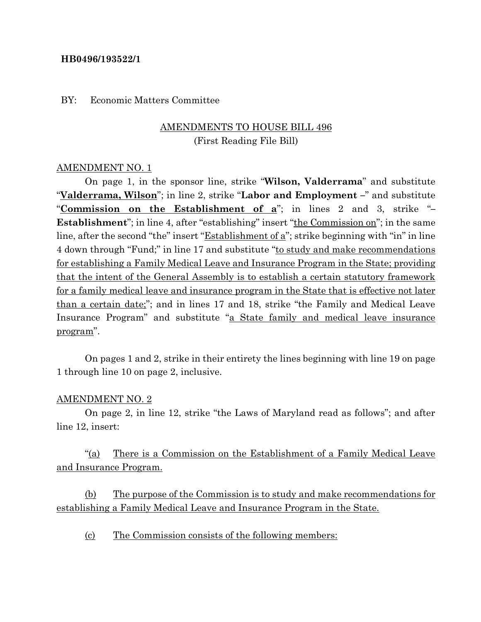#### **HB0496/193522/1**

#### BY: Economic Matters Committee

# AMENDMENTS TO HOUSE BILL 496

(First Reading File Bill)

#### AMENDMENT NO. 1

On page 1, in the sponsor line, strike "**Wilson, Valderrama**" and substitute "**Valderrama, Wilson**"; in line 2, strike "**Labor and Employment –**" and substitute "**Commission on the Establishment of a**"; in lines 2 and 3, strike "**– Establishment**"; in line 4, after "establishing" insert "the Commission on"; in the same line, after the second "the" insert "Establishment of a"; strike beginning with "in" in line 4 down through "Fund;" in line 17 and substitute "to study and make recommendations for establishing a Family Medical Leave and Insurance Program in the State; providing that the intent of the General Assembly is to establish a certain statutory framework for a family medical leave and insurance program in the State that is effective not later than a certain date;"; and in lines 17 and 18, strike "the Family and Medical Leave Insurance Program" and substitute "a State family and medical leave insurance program".

On pages 1 and 2, strike in their entirety the lines beginning with line 19 on page 1 through line 10 on page 2, inclusive.

#### AMENDMENT NO. 2

On page 2, in line 12, strike "the Laws of Maryland read as follows"; and after line 12, insert:

"(a) There is a Commission on the Establishment of a Family Medical Leave and Insurance Program.

(b) The purpose of the Commission is to study and make recommendations for establishing a Family Medical Leave and Insurance Program in the State.

(c) The Commission consists of the following members: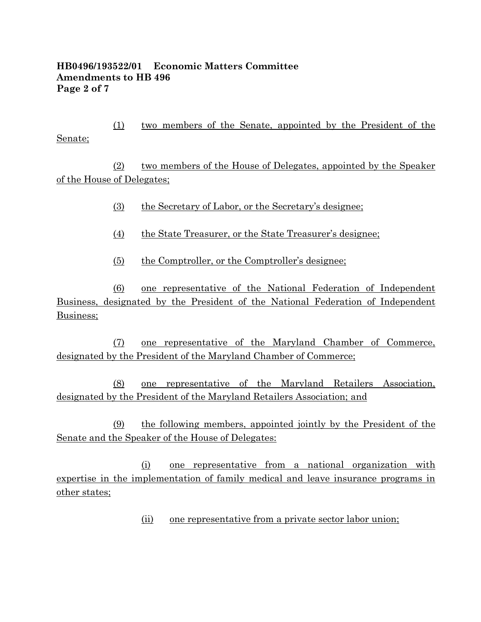#### **HB0496/193522/01 Economic Matters Committee Amendments to HB 496 Page 2 of 7**

(1) two members of the Senate, appointed by the President of the Senate;

(2) two members of the House of Delegates, appointed by the Speaker of the House of Delegates;

- (3) the Secretary of Labor, or the Secretary's designee;
- (4) the State Treasurer, or the State Treasurer's designee;
- (5) the Comptroller, or the Comptroller's designee;

(6) one representative of the National Federation of Independent Business, designated by the President of the National Federation of Independent Business;

(7) one representative of the Maryland Chamber of Commerce, designated by the President of the Maryland Chamber of Commerce;

(8) one representative of the Maryland Retailers Association, designated by the President of the Maryland Retailers Association; and

(9) the following members, appointed jointly by the President of the Senate and the Speaker of the House of Delegates:

(i) one representative from a national organization with expertise in the implementation of family medical and leave insurance programs in other states;

(ii) one representative from a private sector labor union;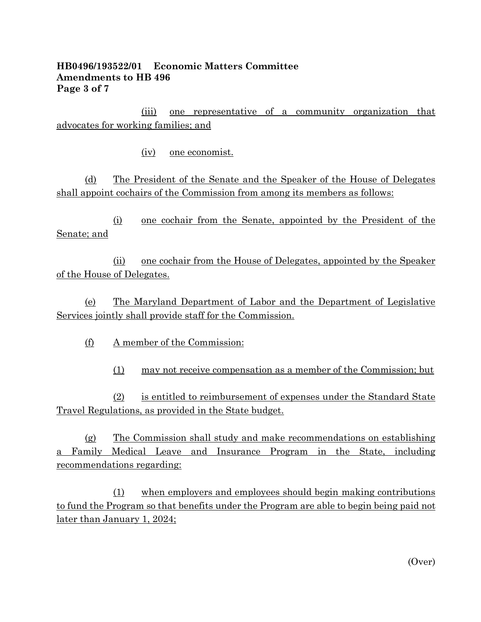## **HB0496/193522/01 Economic Matters Committee Amendments to HB 496 Page 3 of 7**

(iii) one representative of a community organization that advocates for working families; and

(iv) one economist.

(d) The President of the Senate and the Speaker of the House of Delegates shall appoint cochairs of the Commission from among its members as follows:

(i) one cochair from the Senate, appointed by the President of the Senate; and

(ii) one cochair from the House of Delegates, appointed by the Speaker of the House of Delegates.

(e) The Maryland Department of Labor and the Department of Legislative Services jointly shall provide staff for the Commission.

(f) A member of the Commission:

(1) may not receive compensation as a member of the Commission; but

(2) is entitled to reimbursement of expenses under the Standard State Travel Regulations, as provided in the State budget.

(g) The Commission shall study and make recommendations on establishing a Family Medical Leave and Insurance Program in the State, including recommendations regarding:

(1) when employers and employees should begin making contributions to fund the Program so that benefits under the Program are able to begin being paid not later than January 1, 2024;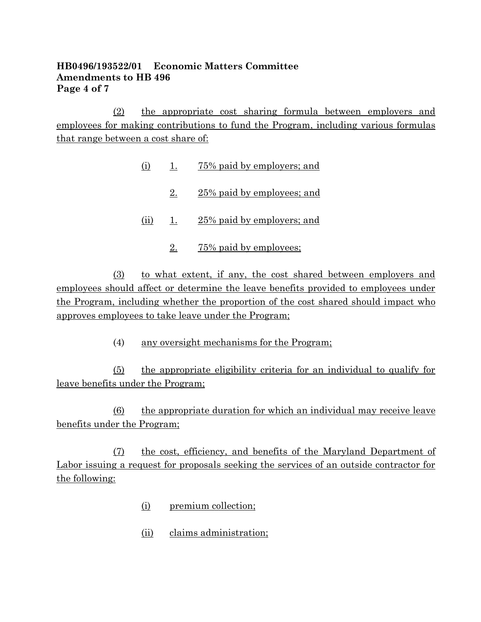## **HB0496/193522/01 Economic Matters Committee Amendments to HB 496 Page 4 of 7**

(2) the appropriate cost sharing formula between employers and employees for making contributions to fund the Program, including various formulas that range between a cost share of:

- (i) 1. 75% paid by employers; and
	- 2. 25% paid by employees; and
- (ii) 1. 25% paid by employers; and
	- 2. 75% paid by employees;

(3) to what extent, if any, the cost shared between employers and employees should affect or determine the leave benefits provided to employees under the Program, including whether the proportion of the cost shared should impact who approves employees to take leave under the Program;

(4) any oversight mechanisms for the Program;

(5) the appropriate eligibility criteria for an individual to qualify for leave benefits under the Program;

(6) the appropriate duration for which an individual may receive leave benefits under the Program;

(7) the cost, efficiency, and benefits of the Maryland Department of Labor issuing a request for proposals seeking the services of an outside contractor for the following:

- (i) premium collection;
- (ii) claims administration;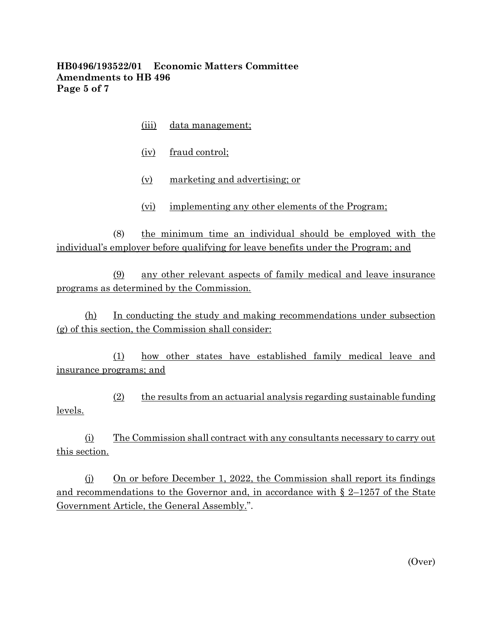## **HB0496/193522/01 Economic Matters Committee Amendments to HB 496 Page 5 of 7**

- (iii) data management;
- (iv) fraud control;
- (v) marketing and advertising; or
- (vi) implementing any other elements of the Program;

 $(8)$  the minimum time an individual should be employed with the individual's employer before qualifying for leave benefits under the Program; and

(9) any other relevant aspects of family medical and leave insurance programs as determined by the Commission.

(h) In conducting the study and making recommendations under subsection (g) of this section, the Commission shall consider:

(1) how other states have established family medical leave and insurance programs; and

 $(2)$  the results from an actuarial analysis regarding sustainable funding levels.

(i) The Commission shall contract with any consultants necessary to carry out this section.

(j) On or before December 1, 2022, the Commission shall report its findings and recommendations to the Governor and, in accordance with § 2–1257 of the State Government Article, the General Assembly.".

(Over)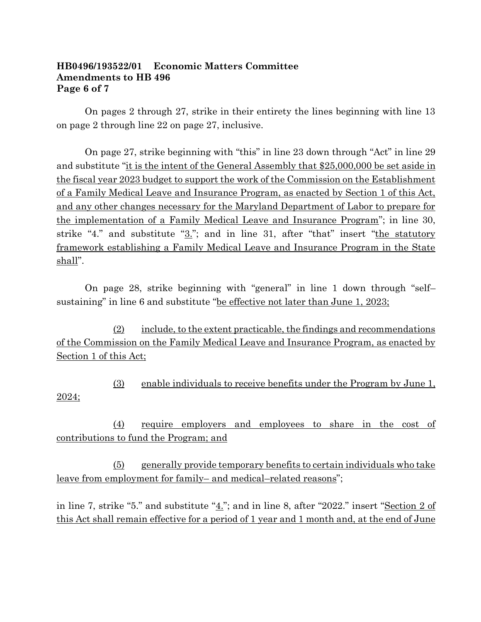#### **HB0496/193522/01 Economic Matters Committee Amendments to HB 496 Page 6 of 7**

On pages 2 through 27, strike in their entirety the lines beginning with line 13 on page 2 through line 22 on page 27, inclusive.

On page 27, strike beginning with "this" in line 23 down through "Act" in line 29 and substitute "it is the intent of the General Assembly that \$25,000,000 be set aside in the fiscal year 2023 budget to support the work of the Commission on the Establishment of a Family Medical Leave and Insurance Program, as enacted by Section 1 of this Act, and any other changes necessary for the Maryland Department of Labor to prepare for the implementation of a Family Medical Leave and Insurance Program"; in line 30, strike "4." and substitute "3."; and in line 31, after "that" insert "the statutory framework establishing a Family Medical Leave and Insurance Program in the State shall".

On page 28, strike beginning with "general" in line 1 down through "self– sustaining" in line 6 and substitute "<u>be effective not later than June 1, 2023;</u>

(2) include, to the extent practicable, the findings and recommendations of the Commission on the Family Medical Leave and Insurance Program, as enacted by Section 1 of this Act;

(3) enable individuals to receive benefits under the Program by June 1, 2024;

(4) require employers and employees to share in the cost of contributions to fund the Program; and

(5) generally provide temporary benefits to certain individuals who take leave from employment for family– and medical–related reasons";

in line 7, strike "5." and substitute "4."; and in line 8, after "2022." insert "Section 2 of this Act shall remain effective for a period of 1 year and 1 month and, at the end of June